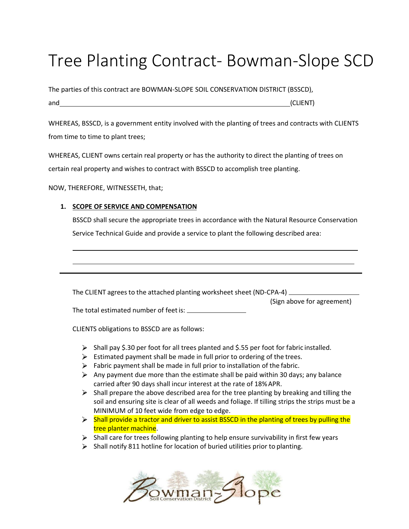# Tree Planting Contract- Bowman-Slope SCD

The parties of this contract are BOWMAN-SLOPE SOIL CONSERVATION DISTRICT (BSSCD), and (CLIENT)

WHEREAS, BSSCD, is a government entity involved with the planting of trees and contracts with CLIENTS from time to time to plant trees;

WHEREAS, CLIENT owns certain real property or has the authority to direct the planting of trees on certain real property and wishes to contract with BSSCD to accomplish tree planting.

NOW, THEREFORE, WITNESSETH, that;

## **1. SCOPE OF SERVICE AND COMPENSATION**

BSSCD shall secure the appropriate trees in accordance with the Natural Resource Conservation Service Technical Guide and provide a service to plant the following described area:

The CLIENT agrees to the attached planting worksheet sheet (ND-CPA-4)

(Sign above for agreement)

The total estimated number of feetis:

CLIENTS obligations to BSSCD are as follows:

- $\triangleright$  Shall pay \$.30 per foot for all trees planted and \$.55 per foot for fabric installed.
- $\triangleright$  Estimated payment shall be made in full prior to ordering of the trees.
- $\triangleright$  Fabric payment shall be made in full prior to installation of the fabric.
- Any payment due more than the estimate shall be paid within 30 days; any balance carried after 90 days shall incur interest at the rate of 18%APR.
- $\triangleright$  Shall prepare the above described area for the tree planting by breaking and tilling the soil and ensuring site is clear of all weeds and foliage. If tilling strips the strips must be a MINIMUM of 10 feet wide from edge to edge.
- > Shall provide a tractor and driver to assist BSSCD in the planting of trees by pulling the tree planter machine.
- $\triangleright$  Shall care for trees following planting to help ensure survivability in first few years
- $\triangleright$  Shall notify 811 hotline for location of buried utilities prior to planting.

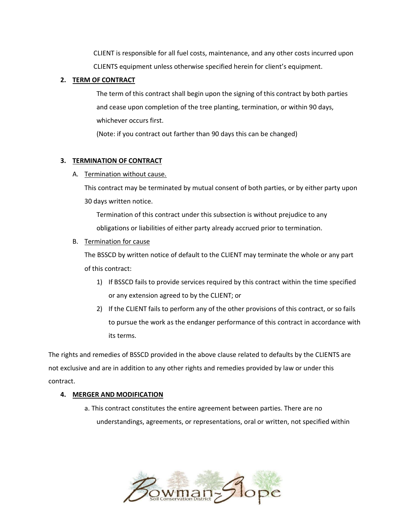CLIENT is responsible for all fuel costs, maintenance, and any other costs incurred upon CLIENTS equipment unless otherwise specified herein for client's equipment.

# **2. TERM OF CONTRACT**

The term of this contract shall begin upon the signing of this contract by both parties and cease upon completion of the tree planting, termination, or within 90 days, whichever occurs first.

(Note: if you contract out farther than 90 days this can be changed)

# **3. TERMINATION OF CONTRACT**

A. Termination without cause.

This contract may be terminated by mutual consent of both parties, or by either party upon 30 days written notice.

Termination of this contract under this subsection is without prejudice to any obligations or liabilities of either party already accrued prior to termination.

B. Termination for cause

The BSSCD by written notice of default to the CLIENT may terminate the whole or any part of this contract:

- 1) If BSSCD fails to provide services required by this contract within the time specified or any extension agreed to by the CLIENT; or
- 2) If the CLIENT fails to perform any of the other provisions of this contract, or so fails to pursue the work as the endanger performance of this contract in accordance with its terms.

The rights and remedies of BSSCD provided in the above clause related to defaults by the CLIENTS are not exclusive and are in addition to any other rights and remedies provided by law or under this contract.

# **4. MERGER AND MODIFICATION**

a. This contract constitutes the entire agreement between parties. There are no understandings, agreements, or representations, oral or written, not specified within

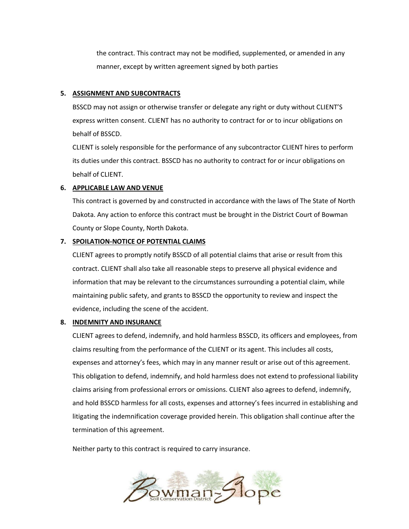the contract. This contract may not be modified, supplemented, or amended in any manner, except by written agreement signed by both parties

## **5. ASSIGNMENT AND SUBCONTRACTS**

BSSCD may not assign or otherwise transfer or delegate any right or duty without CLIENT'S express written consent. CLIENT has no authority to contract for or to incur obligations on behalf of BSSCD.

CLIENT is solely responsible for the performance of any subcontractor CLIENT hires to perform its duties under this contract. BSSCD has no authority to contract for or incur obligations on behalf of CLIENT.

#### **6. APPLICABLE LAW AND VENUE**

This contract is governed by and constructed in accordance with the laws of The State of North Dakota. Any action to enforce this contract must be brought in the District Court of Bowman County or Slope County, North Dakota.

#### **7. SPOILATION-NOTICE OF POTENTIAL CLAIMS**

CLIENT agrees to promptly notify BSSCD of all potential claims that arise or result from this contract. CLIENT shall also take all reasonable steps to preserve all physical evidence and information that may be relevant to the circumstances surrounding a potential claim, while maintaining public safety, and grants to BSSCD the opportunity to review and inspect the evidence, including the scene of the accident.

#### **8. INDEMNITY AND INSURANCE**

CLIENT agrees to defend, indemnify, and hold harmless BSSCD, its officers and employees, from claims resulting from the performance of the CLIENT or its agent. This includes all costs, expenses and attorney's fees, which may in any manner result or arise out of this agreement. This obligation to defend, indemnify, and hold harmless does not extend to professional liability claims arising from professional errors or omissions. CLIENT also agrees to defend, indemnify, and hold BSSCD harmless for all costs, expenses and attorney's fees incurred in establishing and litigating the indemnification coverage provided herein. This obligation shall continue after the termination of this agreement.

Neither party to this contract is required to carry insurance.